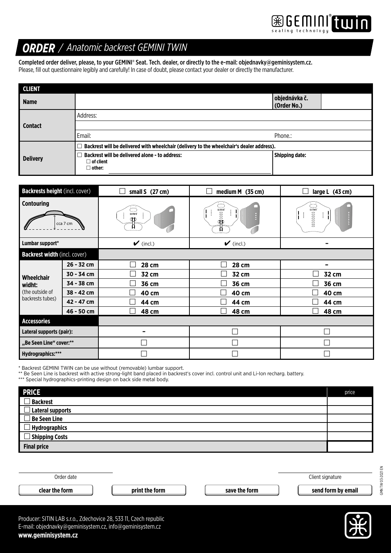

## *ORDER / Anatomic backrest GEMINI TWIN*

Completed order deliver, please, to your GEMINI® Seat. Tech. dealer, or directly to the e-mail: objednavky@geminisystem.cz. Please, fill out questionnaire legibly and carefully! In case of doubt, please contact your dealer or directly the manufacturer.

| <b>CLIENT</b>   |                                                                                               |                              |  |
|-----------------|-----------------------------------------------------------------------------------------------|------------------------------|--|
| <b>Name</b>     |                                                                                               | objednávka č.<br>(Order No.) |  |
| <b>Contact</b>  | Address:                                                                                      |                              |  |
|                 |                                                                                               |                              |  |
|                 | Email:                                                                                        | Phone.:                      |  |
|                 | Backrest will be delivered with wheelchair (delivery to the wheelchair's dealer address).     |                              |  |
| <b>Delivery</b> | <b>Backrest will be delivered alone - to address:</b><br>$\Box$ of client<br>$\square$ other: | <b>Shipping date:</b>        |  |

| <b>Backrests height (incl. cover)</b>                       |            | small S (27 cm)      | medium M (35 cm)                                                                            | large L (43 cm)                                                                                                                                                                                                                                                                                                                                                                                                                                                                                    |
|-------------------------------------------------------------|------------|----------------------|---------------------------------------------------------------------------------------------|----------------------------------------------------------------------------------------------------------------------------------------------------------------------------------------------------------------------------------------------------------------------------------------------------------------------------------------------------------------------------------------------------------------------------------------------------------------------------------------------------|
| <b>Contouring</b><br>cca 7 cm                               |            | GEMINI<br>ŒD         | $\mathbf{\widehat{\mathbb{B}}}$ (0000 $\mathbb{\widehat{B}}$ )<br>$\ddot{\phantom{a}}$<br>н | $\begin{picture}(20,20) \put(0,0){\line(1,0){10}} \put(15,0){\line(1,0){10}} \put(15,0){\line(1,0){10}} \put(15,0){\line(1,0){10}} \put(15,0){\line(1,0){10}} \put(15,0){\line(1,0){10}} \put(15,0){\line(1,0){10}} \put(15,0){\line(1,0){10}} \put(15,0){\line(1,0){10}} \put(15,0){\line(1,0){10}} \put(15,0){\line(1,0){10}} \put(15,0){\line(1$<br>$\begin{smallmatrix} \bullet & \bullet & \bullet & \bullet & \bullet \ \bullet & \bullet & \bullet & \bullet \end{smallmatrix}$<br>,,,,,,,, |
| Lumbar support*                                             |            | $\mathcal V$ (incl.) | $\mathcal V$ (incl.)                                                                        |                                                                                                                                                                                                                                                                                                                                                                                                                                                                                                    |
| <b>Backrest width (incl. cover)</b>                         |            |                      |                                                                                             |                                                                                                                                                                                                                                                                                                                                                                                                                                                                                                    |
| Wheelchair<br>widht:<br>(the outside of<br>backrests tubes) | 26 - 32 cm | 28 cm                | 28 cm                                                                                       |                                                                                                                                                                                                                                                                                                                                                                                                                                                                                                    |
|                                                             | 30 - 34 cm | 32 cm                | 32 cm                                                                                       | 32 cm                                                                                                                                                                                                                                                                                                                                                                                                                                                                                              |
|                                                             | 34 - 38 cm | 36 cm                | 36 cm                                                                                       | 36 cm                                                                                                                                                                                                                                                                                                                                                                                                                                                                                              |
|                                                             | 38 - 42 cm | 40 cm                | 40 cm                                                                                       | 40 cm                                                                                                                                                                                                                                                                                                                                                                                                                                                                                              |
|                                                             | 42 - 47 cm | 44 cm                | 44 cm                                                                                       | 44 cm                                                                                                                                                                                                                                                                                                                                                                                                                                                                                              |
|                                                             | 46 - 50 cm | 48 cm                | <b>48 cm</b>                                                                                | 48 cm                                                                                                                                                                                                                                                                                                                                                                                                                                                                                              |
| <b>Accessories</b>                                          |            |                      |                                                                                             |                                                                                                                                                                                                                                                                                                                                                                                                                                                                                                    |
| Lateral supports (pair):                                    |            |                      |                                                                                             |                                                                                                                                                                                                                                                                                                                                                                                                                                                                                                    |
| "Be Seen Line" cover:**                                     |            |                      |                                                                                             |                                                                                                                                                                                                                                                                                                                                                                                                                                                                                                    |
| Hydrographics:***                                           |            |                      |                                                                                             |                                                                                                                                                                                                                                                                                                                                                                                                                                                                                                    |

\* Backrest GEMINI TWIN can be use without (removable) lumbar support.

\*\* Be Seen Line is backrest with active strong-light band placed in backrest's cover incl. control unit and Li-Ion recharg. battery.

\*\*\* Special hydrographics-printing design on back side metal body.

| <b>PRICE</b>          | price |
|-----------------------|-------|
| <b>Backrest</b>       |       |
| Lateral supports      |       |
| $\Box$ Be Seen Line   |       |
| $\Box$ Hydrographics  |       |
| $\Box$ Shipping Costs |       |
| <b>Final price</b>    |       |

| Order date     |                |               | Client signature   |
|----------------|----------------|---------------|--------------------|
| clear the form | print the form | save the form | send form by email |
|                |                |               |                    |

GMN TW 03-2021 EN

GMN TW 03-2021 EN